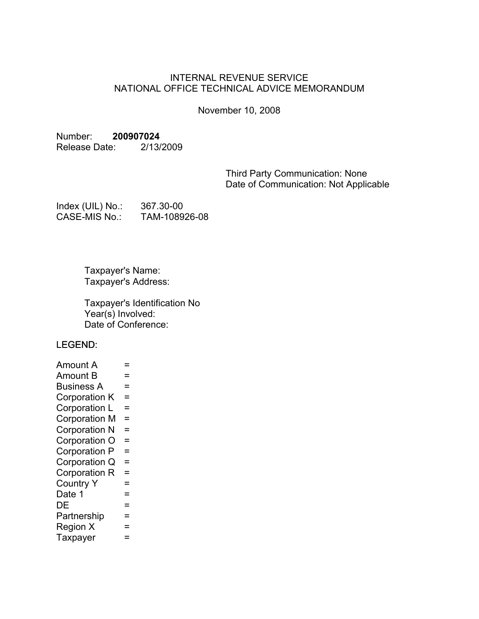## INTERNAL REVENUE SERVICE NATIONAL OFFICE TECHNICAL ADVICE MEMORANDUM

November 10, 2008

#### Number: **200907024**

Release Date: 2/13/2009

Third Party Communication: None Date of Communication: Not Applicable

| Index (UIL) No.: | 367.30-00     |
|------------------|---------------|
| CASE-MIS No.:    | TAM-108926-08 |

Taxpayer's Name: Taxpayer's Address:

Taxpayer's Identification No  $Year(s)$  Involved: Date of Conference:

LEGEND:

| Amount A             | =        |  |
|----------------------|----------|--|
| Amount B             | =        |  |
| <b>Business A</b>    | =        |  |
| Corporation K        | $=$      |  |
| Corporation L        | $=$      |  |
| <b>Corporation M</b> | $\equiv$ |  |
| <b>Corporation N</b> | $=$      |  |
| Corporation O        | $=$      |  |
| Corporation P        | $=$      |  |
| Corporation Q        | $=$      |  |
| Corporation R        | $=$      |  |
| <b>Country Y</b>     | =        |  |
| Date 1               | =        |  |
| DE                   | =        |  |
| Partnership          | =        |  |
| Region X             | =        |  |
| Taxpayer             |          |  |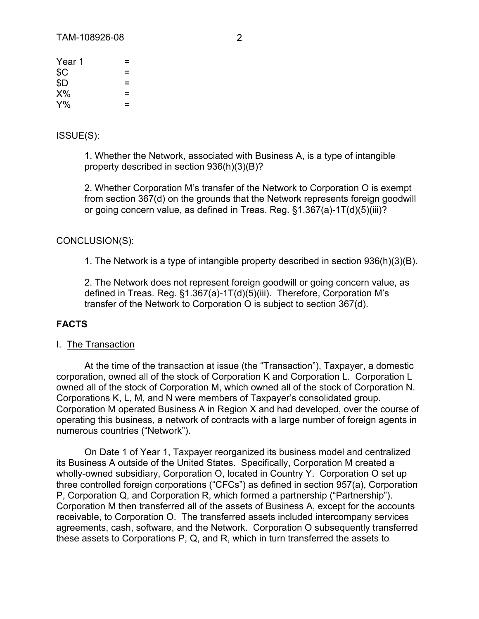| Year 1 | =   |  |
|--------|-----|--|
| \$C    | =   |  |
| \$D    | $=$ |  |
| $X\%$  | $=$ |  |
| $Y\%$  | =   |  |

#### ISSUE(S):

1. Whether the Network, associated with Business A, is a type of intangible property described in section 936(h)(3)(B)?

2. Whether Corporation M's transfer of the Network to Corporation O is exempt from section 367(d) on the grounds that the Network represents foreign goodwill or going concern value, as defined in Treas. Reg. §1.367(a)-1T(d)(5)(iii)?

#### CONCLUSION(S):

1. The Network is a type of intangible property described in section 936(h)(3)(B).

2. The Network does not represent foreign goodwill or going concern value, as defined in Treas. Reg. §1.367(a)-1T(d)(5)(iii). Therefore, Corporation M's transfer of the Network to Corporation O is subject to section 367(d).

## **FACTS**

#### I. The Transaction

At the time of the transaction at issue (the "Transaction"), Taxpayer, a domestic corporation, owned all of the stock of Corporation K and Corporation L. Corporation L owned all of the stock of Corporation M, which owned all of the stock of Corporation N. Corporations K, L, M, and N were members of Taxpayer's consolidated group. Corporation M operated Business A in Region X and had developed, over the course of operating this business, a network of contracts with a large number of foreign agents in numerous countries ("Network").

On Date 1 of Year 1, Taxpayer reorganized its business model and centralized its Business A outside of the United States. Specifically, Corporation M created a wholly-owned subsidiary, Corporation O, located in Country Y. Corporation O set up three controlled foreign corporations ("CFCs") as defined in section 957(a), Corporation P, Corporation Q, and Corporation R, which formed a partnership ("Partnership"). Corporation M then transferred all of the assets of Business A, except for the accounts receivable, to Corporation O. The transferred assets included intercompany services agreements, cash, software, and the Network. Corporation O subsequently transferred these assets to Corporations P, Q, and R, which in turn transferred the assets to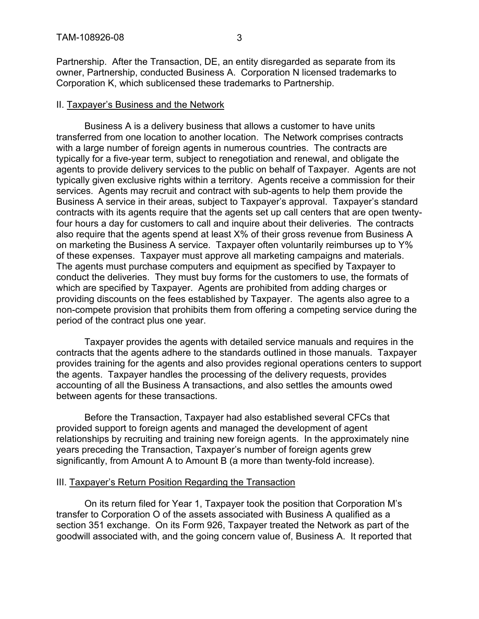Partnership. After the Transaction, DE, an entity disregarded as separate from its owner, Partnership, conducted Business A. Corporation N licensed trademarks to Corporation K, which sublicensed these trademarks to Partnership.

#### II. Taxpayer's Business and the Network

Business A is a delivery business that allows a customer to have units transferred from one location to another location. The Network comprises contracts with a large number of foreign agents in numerous countries. The contracts are typically for a five-year term, subject to renegotiation and renewal, and obligate the agents to provide delivery services to the public on behalf of Taxpayer. Agents are not typically given exclusive rights within a territory. Agents receive a commission for their services. Agents may recruit and contract with sub-agents to help them provide the Business A service in their areas, subject to Taxpayer's approval. Taxpayer's standard contracts with its agents require that the agents set up call centers that are open twentyfour hours a day for customers to call and inquire about their deliveries. The contracts also require that the agents spend at least X% of their gross revenue from Business A on marketing the Business A service. Taxpayer often voluntarily reimburses up to Y% of these expenses. Taxpayer must approve all marketing campaigns and materials. The agents must purchase computers and equipment as specified by Taxpayer to conduct the deliveries. They must buy forms for the customers to use, the formats of which are specified by Taxpayer. Agents are prohibited from adding charges or providing discounts on the fees established by Taxpayer. The agents also agree to a non-compete provision that prohibits them from offering a competing service during the period of the contract plus one year.

Taxpayer provides the agents with detailed service manuals and requires in the contracts that the agents adhere to the standards outlined in those manuals. Taxpayer provides training for the agents and also provides regional operations centers to support the agents. Taxpayer handles the processing of the delivery requests, provides accounting of all the Business A transactions, and also settles the amounts owed between agents for these transactions.

Before the Transaction, Taxpayer had also established several CFCs that provided support to foreign agents and managed the development of agent relationships by recruiting and training new foreign agents. In the approximately nine years preceding the Transaction, Taxpayer's number of foreign agents grew significantly, from Amount A to Amount B (a more than twenty-fold increase).

## III. Taxpayer's Return Position Regarding the Transaction

On its return filed for Year 1, Taxpayer took the position that Corporation M's transfer to Corporation O of the assets associated with Business A qualified as a section 351 exchange. On its Form 926, Taxpayer treated the Network as part of the goodwill associated with, and the going concern value of, Business A. It reported that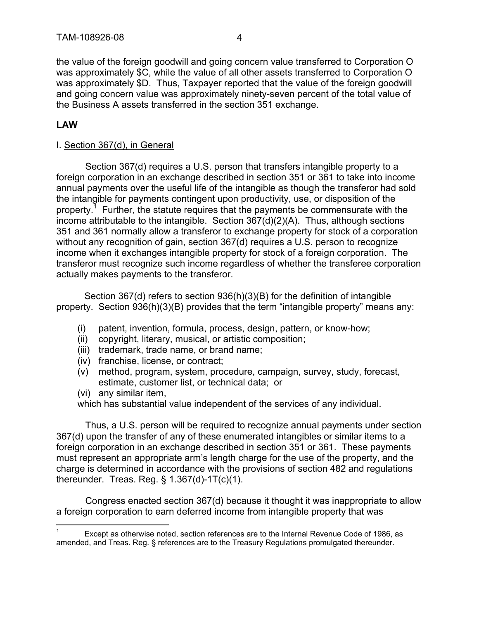the value of the foreign goodwill and going concern value transferred to Corporation O was approximately \$C, while the value of all other assets transferred to Corporation O was approximately \$D. Thus, Taxpayer reported that the value of the foreign goodwill and going concern value was approximately ninety-seven percent of the total value of the Business A assets transferred in the section 351 exchange.

# **LAW**

## I. Section 367(d), in General

Section 367(d) requires a U.S. person that transfers intangible property to a foreign corporation in an exchange described in section 351 or 361 to take into income annual payments over the useful life of the intangible as though the transferor had sold the intangible for payments contingent upon productivity, use, or disposition of the property.<sup>1</sup> Further, the statute requires that the payments be commensurate with the income attributable to the intangible. Section 367(d)(2)(A). Thus, although sections 351 and 361 normally allow a transferor to exchange property for stock of a corporation without any recognition of gain, section 367(d) requires a U.S. person to recognize income when it exchanges intangible property for stock of a foreign corporation. The transferor must recognize such income regardless of whether the transferee corporation actually makes payments to the transferor.

Section 367(d) refers to section 936(h)(3)(B) for the definition of intangible property. Section 936(h)(3)(B) provides that the term "intangible property" means any:

- (i) patent, invention, formula, process, design, pattern, or know-how;
- (ii) copyright, literary, musical, or artistic composition;
- (iii) trademark, trade name, or brand name;
- (iv) franchise, license, or contract;
- (v) method, program, system, procedure, campaign, survey, study, forecast, estimate, customer list, or technical data; or
- (vi) any similar item,

which has substantial value independent of the services of any individual.

Thus, a U.S. person will be required to recognize annual payments under section 367(d) upon the transfer of any of these enumerated intangibles or similar items to a foreign corporation in an exchange described in section 351 or 361. These payments must represent an appropriate arm's length charge for the use of the property, and the charge is determined in accordance with the provisions of section 482 and regulations thereunder. Treas. Reg. § 1.367(d)-1T(c)(1).

Congress enacted section 367(d) because it thought it was inappropriate to allow a foreign corporation to earn deferred income from intangible property that was

<sup>1</sup> Except as otherwise noted, section references are to the Internal Revenue Code of 1986, as amended, and Treas. Reg. § references are to the Treasury Regulations promulgated thereunder.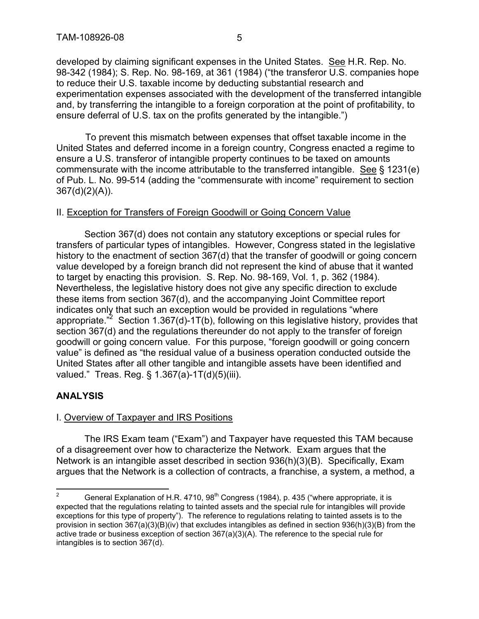developed by claiming significant expenses in the United States. See H.R. Rep. No. 98-342 (1984); S. Rep. No. 98-169, at 361 (1984) ("the transferor U.S. companies hope to reduce their U.S. taxable income by deducting substantial research and experimentation expenses associated with the development of the transferred intangible and, by transferring the intangible to a foreign corporation at the point of profitability, to ensure deferral of U.S. tax on the profits generated by the intangible.")

To prevent this mismatch between expenses that offset taxable income in the United States and deferred income in a foreign country, Congress enacted a regime to ensure a U.S. transferor of intangible property continues to be taxed on amounts commensurate with the income attributable to the transferred intangible. See § 1231(e) of Pub. L. No. 99-514 (adding the "commensurate with income" requirement to section 367(d)(2)(A)).

## II. Exception for Transfers of Foreign Goodwill or Going Concern Value

Section 367(d) does not contain any statutory exceptions or special rules for transfers of particular types of intangibles. However, Congress stated in the legislative history to the enactment of section 367(d) that the transfer of goodwill or going concern value developed by a foreign branch did not represent the kind of abuse that it wanted to target by enacting this provision. S. Rep. No. 98-169, Vol. 1, p. 362 (1984). Nevertheless, the legislative history does not give any specific direction to exclude these items from section 367(d), and the accompanying Joint Committee report indicates only that such an exception would be provided in regulations "where appropriate."<sup>2</sup> Section 1.367(d)-1T(b), following on this legislative history, provides that section 367(d) and the regulations thereunder do not apply to the transfer of foreign goodwill or going concern value. For this purpose, "foreign goodwill or going concern value" is defined as "the residual value of a business operation conducted outside the United States after all other tangible and intangible assets have been identified and valued." Treas. Reg. § 1.367(a)-1T(d)(5)(iii).

## **ANALYSIS**

## I. Overview of Taxpayer and IRS Positions

The IRS Exam team ("Exam") and Taxpayer have requested this TAM because of a disagreement over how to characterize the Network. Exam argues that the Network is an intangible asset described in section 936(h)(3)(B). Specifically, Exam argues that the Network is a collection of contracts, a franchise, a system, a method, a

General Explanation of H.R. 4710, 98<sup>th</sup> Congress (1984), p. 435 ("where appropriate, it is expected that the regulations relating to tainted assets and the special rule for intangibles will provide exceptions for this type of property"). The reference to regulations relating to tainted assets is to the provision in section 367(a)(3)(B)(iv) that excludes intangibles as defined in section 936(h)(3)(B) from the active trade or business exception of section 367(a)(3)(A). The reference to the special rule for intangibles is to section 367(d).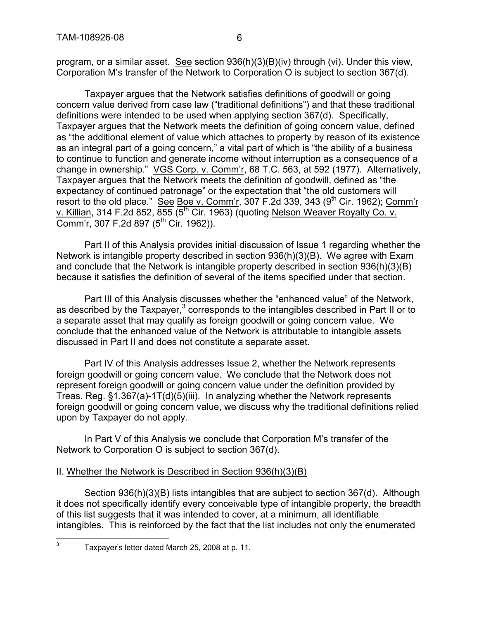program, or a similar asset. See section 936(h)(3)(B)(iv) through (vi). Under this view, Corporation M's transfer of the Network to Corporation O is subject to section 367(d).

Taxpayer argues that the Network satisfies definitions of goodwill or going concern value derived from case law ("traditional definitions") and that these traditional definitions were intended to be used when applying section 367(d). Specifically, Taxpayer argues that the Network meets the definition of going concern value, defined as "the additional element of value which attaches to property by reason of its existence as an integral part of a going concern," a vital part of which is "the ability of a business to continue to function and generate income without interruption as a consequence of a change in ownership." VGS Corp. v. Comm'r, 68 T.C. 563, at 592 (1977). Alternatively, Taxpayer argues that the Network meets the definition of goodwill, defined as "the expectancy of continued patronage" or the expectation that "the old customers will resort to the old place." See Boe v. Comm'r, 307 F.2d 339, 343 (9<sup>th</sup> Cir. 1962); Comm'r v. Killian, 314 F.2d 852,  $\overline{855}$   $\overline{5^{th}}$  Cir. 1963) (quoting Nelson Weaver Royalty Co. v. Comm'r, 307 F.2d 897  $(5<sup>th</sup>$  Cir. 1962)).

Part II of this Analysis provides initial discussion of Issue 1 regarding whether the Network is intangible property described in section 936(h)(3)(B). We agree with Exam and conclude that the Network is intangible property described in section 936(h)(3)(B) because it satisfies the definition of several of the items specified under that section.

Part III of this Analysis discusses whether the "enhanced value" of the Network, as described by the Taxpayer, $3$  corresponds to the intangibles described in Part II or to a separate asset that may qualify as foreign goodwill or going concern value. We conclude that the enhanced value of the Network is attributable to intangible assets discussed in Part II and does not constitute a separate asset.

Part IV of this Analysis addresses Issue 2, whether the Network represents foreign goodwill or going concern value. We conclude that the Network does not represent foreign goodwill or going concern value under the definition provided by Treas. Reg. §1.367(a)-1T(d)(5)(iii). In analyzing whether the Network represents foreign goodwill or going concern value, we discuss why the traditional definitions relied upon by Taxpayer do not apply.

In Part V of this Analysis we conclude that Corporation M's transfer of the Network to Corporation O is subject to section 367(d).

# II. Whether the Network is Described in Section 936(h)(3)(B)

Section 936(h)(3)(B) lists intangibles that are subject to section 367(d). Although it does not specifically identify every conceivable type of intangible property, the breadth of this list suggests that it was intended to cover, at a minimum, all identifiable intangibles. This is reinforced by the fact that the list includes not only the enumerated

<sup>3</sup> Taxpayer's letter dated March 25, 2008 at p. 11.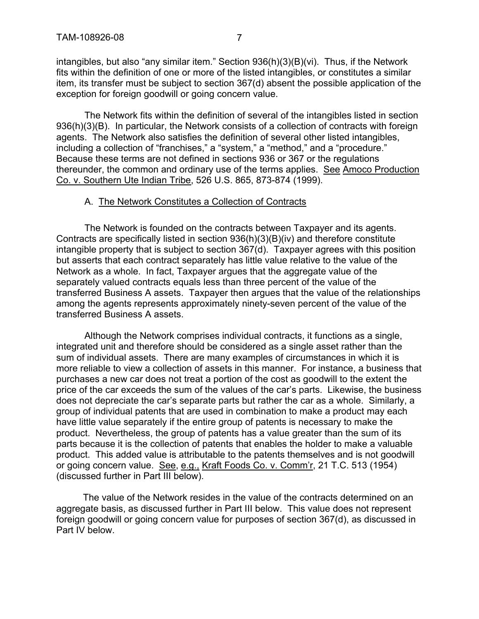intangibles, but also "any similar item." Section 936(h)(3)(B)(vi). Thus, if the Network fits within the definition of one or more of the listed intangibles, or constitutes a similar item, its transfer must be subject to section 367(d) absent the possible application of the exception for foreign goodwill or going concern value.

The Network fits within the definition of several of the intangibles listed in section 936(h)(3)(B). In particular, the Network consists of a collection of contracts with foreign agents. The Network also satisfies the definition of several other listed intangibles, including a collection of "franchises," a "system," a "method," and a "procedure." Because these terms are not defined in sections 936 or 367 or the regulations thereunder, the common and ordinary use of the terms applies. See Amoco Production Co. v. Southern Ute Indian Tribe, 526 U.S. 865, 873-874 (1999).

## A. The Network Constitutes a Collection of Contracts

The Network is founded on the contracts between Taxpayer and its agents. Contracts are specifically listed in section 936(h)(3)(B)(iv) and therefore constitute intangible property that is subject to section 367(d). Taxpayer agrees with this position but asserts that each contract separately has little value relative to the value of the Network as a whole. In fact, Taxpayer argues that the aggregate value of the separately valued contracts equals less than three percent of the value of the transferred Business A assets. Taxpayer then argues that the value of the relationships among the agents represents approximately ninety-seven percent of the value of the transferred Business A assets.

Although the Network comprises individual contracts, it functions as a single, integrated unit and therefore should be considered as a single asset rather than the sum of individual assets. There are many examples of circumstances in which it is more reliable to view a collection of assets in this manner. For instance, a business that purchases a new car does not treat a portion of the cost as goodwill to the extent the price of the car exceeds the sum of the values of the car's parts. Likewise, the business does not depreciate the car's separate parts but rather the car as a whole. Similarly, a group of individual patents that are used in combination to make a product may each have little value separately if the entire group of patents is necessary to make the product. Nevertheless, the group of patents has a value greater than the sum of its parts because it is the collection of patents that enables the holder to make a valuable product. This added value is attributable to the patents themselves and is not goodwill or going concern value. See, e.g., Kraft Foods Co. v. Comm'r, 21 T.C. 513 (1954) (discussed further in Part III below).

The value of the Network resides in the value of the contracts determined on an aggregate basis, as discussed further in Part III below. This value does not represent foreign goodwill or going concern value for purposes of section 367(d), as discussed in Part IV below.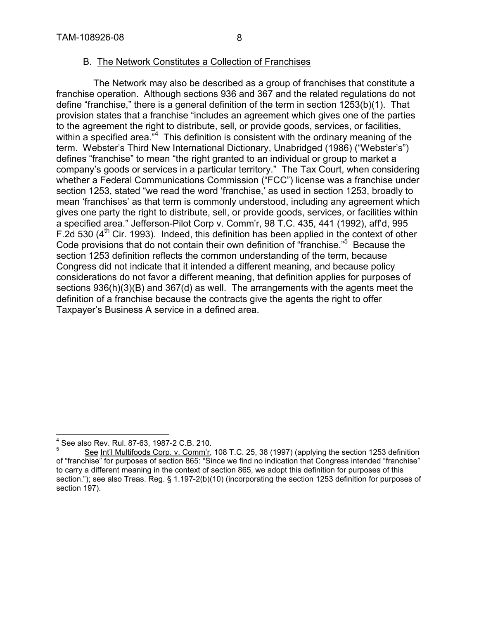## B. The Network Constitutes a Collection of Franchises

The Network may also be described as a group of franchises that constitute a franchise operation. Although sections 936 and 367 and the related regulations do not define "franchise," there is a general definition of the term in section 1253(b)(1). That provision states that a franchise "includes an agreement which gives one of the parties to the agreement the right to distribute, sell, or provide goods, services, or facilities, within a specified area. $^{\frac{1}{n^4}}$  This definition is consistent with the ordinary meaning of the term. Webster's Third New International Dictionary, Unabridged (1986) ("Webster's") defines "franchise" to mean "the right granted to an individual or group to market a company's goods or services in a particular territory." The Tax Court, when considering whether a Federal Communications Commission ("FCC") license was a franchise under section 1253, stated "we read the word 'franchise,' as used in section 1253, broadly to mean 'franchises' as that term is commonly understood, including any agreement which gives one party the right to distribute, sell, or provide goods, services, or facilities within a specified area." Jefferson-Pilot Corp v. Comm'r, 98 T.C. 435, 441 (1992), aff'd, 995 F.2d 530  $(4<sup>th</sup>$  Cir. 1993). Indeed, this definition has been applied in the context of other Code provisions that do not contain their own definition of "franchise."<sup>5</sup> Because the section 1253 definition reflects the common understanding of the term, because Congress did not indicate that it intended a different meaning, and because policy considerations do not favor a different meaning, that definition applies for purposes of sections 936(h)(3)(B) and 367(d) as well. The arrangements with the agents meet the definition of a franchise because the contracts give the agents the right to offer Taxpayer's Business A service in a defined area.

<sup>4</sup> See also Rev. Rul. 87-63, 1987-2 C.B. 210.

<sup>5</sup> See Int'l Multifoods Corp. v. Comm'r, 108 T.C. 25, 38 (1997) (applying the section 1253 definition of "franchise" for purposes of section 865: "Since we find no indication that Congress intended "franchise" to carry a different meaning in the context of section 865, we adopt this definition for purposes of this section."); see also Treas. Reg. § 1.197-2(b)(10) (incorporating the section 1253 definition for purposes of section 197).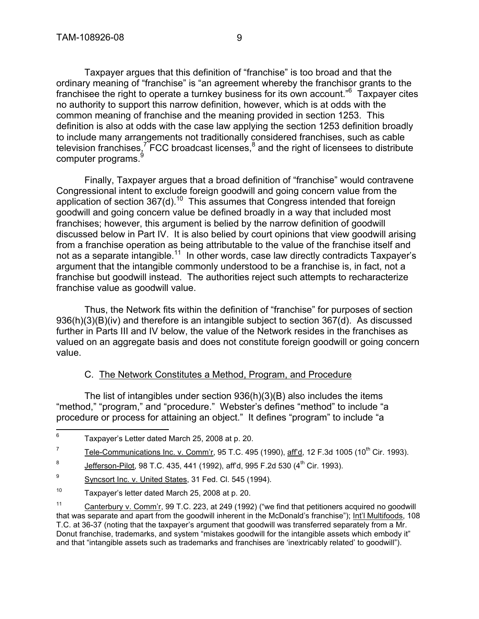Taxpayer argues that this definition of "franchise" is too broad and that the ordinary meaning of "franchise" is "an agreement whereby the franchisor grants to the franchisee the right to operate a turnkey business for its own account."<sup>6</sup> Taxpayer cites no authority to support this narrow definition, however, which is at odds with the common meaning of franchise and the meaning provided in section 1253. This definition is also at odds with the case law applying the section 1253 definition broadly to include many arrangements not traditionally considered franchises, such as cable television franchises,<sup>7</sup> FCC broadcast licenses,<sup>8</sup> and the right of licensees to distribute computer programs.<sup>9</sup>

Finally, Taxpayer argues that a broad definition of "franchise" would contravene Congressional intent to exclude foreign goodwill and going concern value from the application of section 367(d).<sup>10</sup> This assumes that Congress intended that foreign goodwill and going concern value be defined broadly in a way that included most franchises; however, this argument is belied by the narrow definition of goodwill discussed below in Part IV. It is also belied by court opinions that view goodwill arising from a franchise operation as being attributable to the value of the franchise itself and not as a separate intangible.<sup>11</sup> In other words, case law directly contradicts Taxpayer's argument that the intangible commonly understood to be a franchise is, in fact, not a franchise but goodwill instead. The authorities reject such attempts to recharacterize franchise value as goodwill value.

Thus, the Network fits within the definition of "franchise" for purposes of section 936(h)(3)(B)(iv) and therefore is an intangible subject to section 367(d). As discussed further in Parts III and IV below, the value of the Network resides in the franchises as valued on an aggregate basis and does not constitute foreign goodwill or going concern value.

# C. The Network Constitutes a Method, Program, and Procedure

The list of intangibles under section 936(h)(3)(B) also includes the items "method," "program," and "procedure." Webster's defines "method" to include "a procedure or process for attaining an object." It defines "program" to include "a

7 Tele-Communications Inc. v. Comm'r, 95 T.C. 495 (1990), aff'd, 12 F.3d 1005 (10<sup>th</sup> Cir. 1993).

9 Syncsort Inc. v. United States, 31 Fed. Cl. 545 (1994).

<sup>6</sup> Taxpayer's Letter dated March 25, 2008 at p. 20.

<sup>8</sup> Jefferson-Pilot, 98 T.C. 435, 441 (1992), aff'd, 995 F.2d 530 (4<sup>th</sup> Cir. 1993).

<sup>10</sup> Taxpayer's letter dated March 25, 2008 at p. 20.

<sup>&</sup>lt;sup>11</sup> Canterbury v. Comm'r, 99 T.C. 223, at 249 (1992) ("we find that petitioners acquired no goodwill that was separate and apart from the goodwill inherent in the McDonald's franchise"); Int'l Multifoods, 108 T.C. at 36-37 (noting that the taxpayer's argument that goodwill was transferred separately from a Mr. Donut franchise, trademarks, and system "mistakes goodwill for the intangible assets which embody it" and that "intangible assets such as trademarks and franchises are 'inextricably related' to goodwill").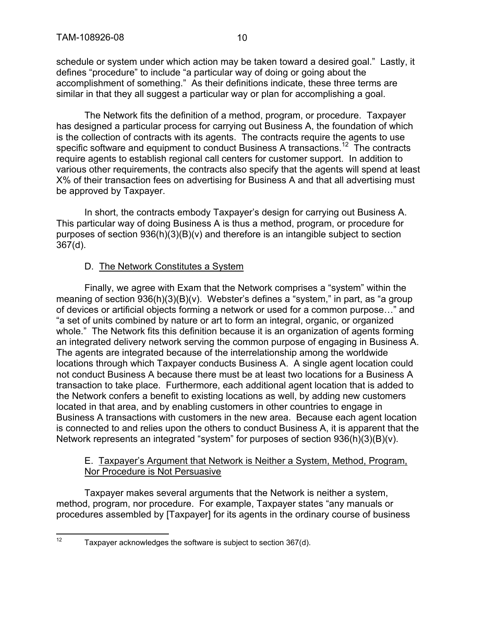schedule or system under which action may be taken toward a desired goal." Lastly, it defines "procedure" to include "a particular way of doing or going about the accomplishment of something." As their definitions indicate, these three terms are similar in that they all suggest a particular way or plan for accomplishing a goal.

The Network fits the definition of a method, program, or procedure. Taxpayer has designed a particular process for carrying out Business A, the foundation of which is the collection of contracts with its agents. The contracts require the agents to use specific software and equipment to conduct Business A transactions.<sup>12</sup> The contracts require agents to establish regional call centers for customer support. In addition to various other requirements, the contracts also specify that the agents will spend at least X% of their transaction fees on advertising for Business A and that all advertising must be approved by Taxpayer.

In short, the contracts embody Taxpayer's design for carrying out Business A. This particular way of doing Business A is thus a method, program, or procedure for purposes of section 936(h)(3)(B)(v) and therefore is an intangible subject to section 367(d).

# D. The Network Constitutes a System

Finally, we agree with Exam that the Network comprises a "system" within the meaning of section 936(h)(3)(B)(v). Webster's defines a "system," in part, as "a group of devices or artificial objects forming a network or used for a common purpose…" and "a set of units combined by nature or art to form an integral, organic, or organized whole." The Network fits this definition because it is an organization of agents forming an integrated delivery network serving the common purpose of engaging in Business A. The agents are integrated because of the interrelationship among the worldwide locations through which Taxpayer conducts Business A. A single agent location could not conduct Business A because there must be at least two locations for a Business A transaction to take place. Furthermore, each additional agent location that is added to the Network confers a benefit to existing locations as well, by adding new customers located in that area, and by enabling customers in other countries to engage in Business A transactions with customers in the new area. Because each agent location is connected to and relies upon the others to conduct Business A, it is apparent that the Network represents an integrated "system" for purposes of section 936(h)(3)(B)(v).

## E. Taxpayer's Argument that Network is Neither a System, Method, Program, Nor Procedure is Not Persuasive

Taxpayer makes several arguments that the Network is neither a system, method, program, nor procedure. For example, Taxpayer states "any manuals or procedures assembled by [Taxpayer] for its agents in the ordinary course of business

 $12$  Taxpayer acknowledges the software is subject to section 367(d).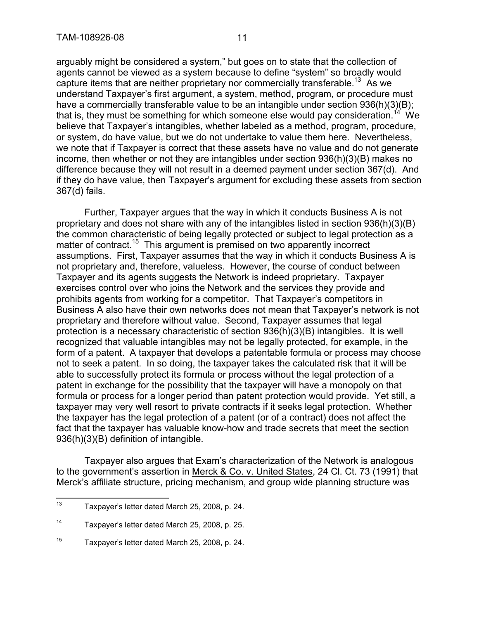arguably might be considered a system," but goes on to state that the collection of agents cannot be viewed as a system because to define "system" so broadly would capture items that are neither proprietary nor commercially transferable.<sup>13</sup> As we understand Taxpayer's first argument, a system, method, program, or procedure must have a commercially transferable value to be an intangible under section 936(h)(3)(B); that is, they must be something for which someone else would pay consideration.<sup>14</sup> We believe that Taxpayer's intangibles, whether labeled as a method, program, procedure, or system, do have value, but we do not undertake to value them here. Nevertheless, we note that if Taxpayer is correct that these assets have no value and do not generate income, then whether or not they are intangibles under section 936(h)(3)(B) makes no difference because they will not result in a deemed payment under section 367(d). And if they do have value, then Taxpayer's argument for excluding these assets from section 367(d) fails.

Further, Taxpayer argues that the way in which it conducts Business A is not proprietary and does not share with any of the intangibles listed in section 936(h)(3)(B) the common characteristic of being legally protected or subject to legal protection as a matter of contract.<sup>15</sup> This argument is premised on two apparently incorrect assumptions. First, Taxpayer assumes that the way in which it conducts Business A is not proprietary and, therefore, valueless. However, the course of conduct between Taxpayer and its agents suggests the Network is indeed proprietary. Taxpayer exercises control over who joins the Network and the services they provide and prohibits agents from working for a competitor. That Taxpayer's competitors in Business A also have their own networks does not mean that Taxpayer's network is not proprietary and therefore without value. Second, Taxpayer assumes that legal protection is a necessary characteristic of section 936(h)(3)(B) intangibles. It is well recognized that valuable intangibles may not be legally protected, for example, in the form of a patent. A taxpayer that develops a patentable formula or process may choose not to seek a patent. In so doing, the taxpayer takes the calculated risk that it will be able to successfully protect its formula or process without the legal protection of a patent in exchange for the possibility that the taxpayer will have a monopoly on that formula or process for a longer period than patent protection would provide. Yet still, a taxpayer may very well resort to private contracts if it seeks legal protection. Whether the taxpayer has the legal protection of a patent (or of a contract) does not affect the fact that the taxpayer has valuable know-how and trade secrets that meet the section 936(h)(3)(B) definition of intangible.

Taxpayer also argues that Exam's characterization of the Network is analogous to the government's assertion in Merck & Co. v. United States, 24 Cl. Ct. 73 (1991) that Merck's affiliate structure, pricing mechanism, and group wide planning structure was

<sup>13</sup> Taxpayer's letter dated March 25, 2008, p. 24.

<sup>14</sup> Taxpayer's letter dated March 25, 2008, p. 25.

<sup>15</sup> Taxpayer's letter dated March 25, 2008, p. 24.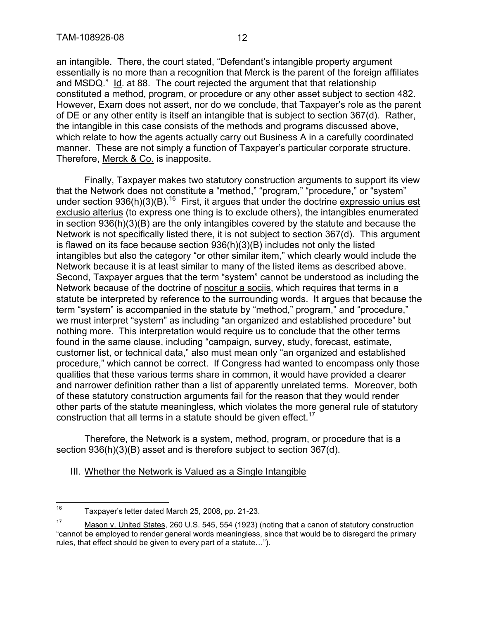an intangible. There, the court stated, "Defendant's intangible property argument essentially is no more than a recognition that Merck is the parent of the foreign affiliates and MSDQ." Id. at 88. The court rejected the argument that that relationship constituted a method, program, or procedure or any other asset subject to section 482. However, Exam does not assert, nor do we conclude, that Taxpayer's role as the parent of DE or any other entity is itself an intangible that is subject to section 367(d). Rather, the intangible in this case consists of the methods and programs discussed above, which relate to how the agents actually carry out Business A in a carefully coordinated manner. These are not simply a function of Taxpayer's particular corporate structure. Therefore, Merck & Co. is inapposite.

Finally, Taxpayer makes two statutory construction arguments to support its view that the Network does not constitute a "method," "program," "procedure," or "system" under section 936(h)(3)(B).<sup>16</sup> First, it argues that under the doctrine expressio unius est exclusio alterius (to express one thing is to exclude others), the intangibles enumerated in section 936(h)(3)(B) are the only intangibles covered by the statute and because the Network is not specifically listed there, it is not subject to section 367(d). This argument is flawed on its face because section 936(h)(3)(B) includes not only the listed intangibles but also the category "or other similar item," which clearly would include the Network because it is at least similar to many of the listed items as described above. Second, Taxpayer argues that the term "system" cannot be understood as including the Network because of the doctrine of noscitur a sociis, which requires that terms in a statute be interpreted by reference to the surrounding words. It argues that because the term "system" is accompanied in the statute by "method," program," and "procedure," we must interpret "system" as including "an organized and established procedure" but nothing more. This interpretation would require us to conclude that the other terms found in the same clause, including "campaign, survey, study, forecast, estimate, customer list, or technical data," also must mean only "an organized and established procedure," which cannot be correct. If Congress had wanted to encompass only those qualities that these various terms share in common, it would have provided a clearer and narrower definition rather than a list of apparently unrelated terms. Moreover, both of these statutory construction arguments fail for the reason that they would render other parts of the statute meaningless, which violates the more general rule of statutory construction that all terms in a statute should be given effect.<sup>17</sup>

Therefore, the Network is a system, method, program, or procedure that is a section 936(h)(3)(B) asset and is therefore subject to section 367(d).

III. Whether the Network is Valued as a Single Intangible

<sup>16</sup> Taxpayer's letter dated March 25, 2008, pp. 21-23.

<sup>&</sup>lt;sup>17</sup> Mason v. United States, 260 U.S. 545, 554 (1923) (noting that a canon of statutory construction "cannot be employed to render general words meaningless, since that would be to disregard the primary rules, that effect should be given to every part of a statute…").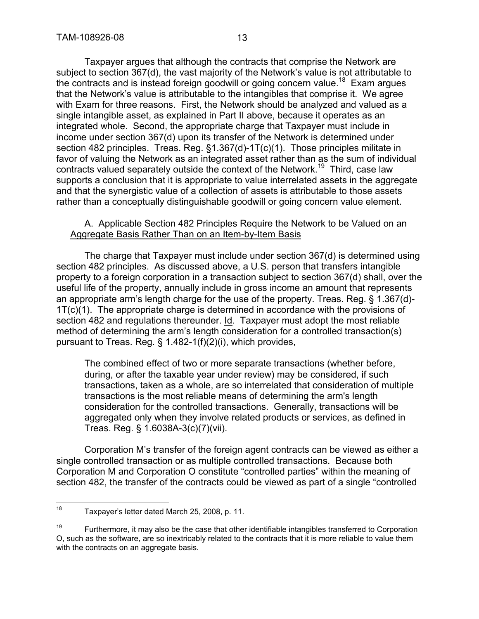Taxpayer argues that although the contracts that comprise the Network are subject to section 367(d), the vast majority of the Network's value is not attributable to the contracts and is instead foreign goodwill or going concern value.<sup>18</sup> Exam argues that the Network's value is attributable to the intangibles that comprise it. We agree with Exam for three reasons. First, the Network should be analyzed and valued as a single intangible asset, as explained in Part II above, because it operates as an integrated whole. Second, the appropriate charge that Taxpayer must include in income under section 367(d) upon its transfer of the Network is determined under section 482 principles. Treas. Reg. §1.367(d)-1T(c)(1). Those principles militate in favor of valuing the Network as an integrated asset rather than as the sum of individual contracts valued separately outside the context of the Network.<sup>19</sup> Third, case law supports a conclusion that it is appropriate to value interrelated assets in the aggregate and that the synergistic value of a collection of assets is attributable to those assets rather than a conceptually distinguishable goodwill or going concern value element.

#### A. Applicable Section 482 Principles Require the Network to be Valued on an Aggregate Basis Rather Than on an Item-by-Item Basis

The charge that Taxpayer must include under section 367(d) is determined using section 482 principles. As discussed above, a U.S. person that transfers intangible property to a foreign corporation in a transaction subject to section 367(d) shall, over the useful life of the property, annually include in gross income an amount that represents an appropriate arm's length charge for the use of the property. Treas. Reg. § 1.367(d)- 1T(c)(1). The appropriate charge is determined in accordance with the provisions of section 482 and regulations thereunder. Id. Taxpayer must adopt the most reliable method of determining the arm's length consideration for a controlled transaction(s) pursuant to Treas. Reg. § 1.482-1(f)(2)(i), which provides,

The combined effect of two or more separate transactions (whether before, during, or after the taxable year under review) may be considered, if such transactions, taken as a whole, are so interrelated that consideration of multiple transactions is the most reliable means of determining the arm's length consideration for the controlled transactions. Generally, transactions will be aggregated only when they involve related products or services, as defined in Treas. Reg. § 1.6038A-3(c)(7)(vii).

Corporation M's transfer of the foreign agent contracts can be viewed as either a single controlled transaction or as multiple controlled transactions. Because both Corporation M and Corporation O constitute "controlled parties" within the meaning of section 482, the transfer of the contracts could be viewed as part of a single "controlled

<sup>18</sup> Taxpayer's letter dated March 25, 2008, p. 11.

 $19$  Furthermore, it may also be the case that other identifiable intangibles transferred to Corporation O, such as the software, are so inextricably related to the contracts that it is more reliable to value them with the contracts on an aggregate basis.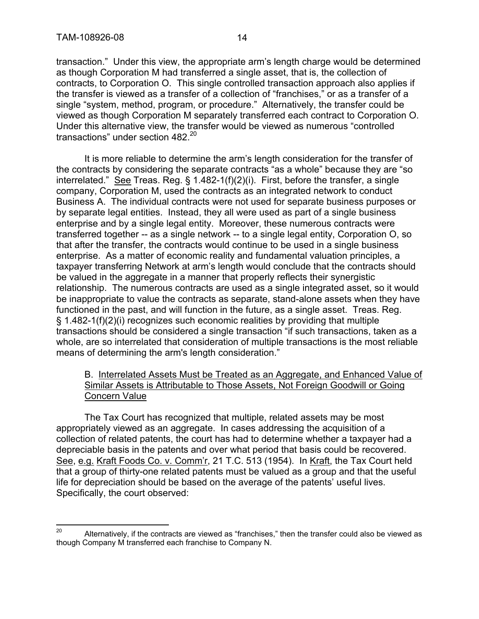transaction." Under this view, the appropriate arm's length charge would be determined as though Corporation M had transferred a single asset, that is, the collection of contracts, to Corporation O. This single controlled transaction approach also applies if the transfer is viewed as a transfer of a collection of "franchises," or as a transfer of a single "system, method, program, or procedure." Alternatively, the transfer could be viewed as though Corporation M separately transferred each contract to Corporation O. Under this alternative view, the transfer would be viewed as numerous "controlled transactions" under section 482.<sup>20</sup>

It is more reliable to determine the arm's length consideration for the transfer of the contracts by considering the separate contracts "as a whole" because they are "so interrelated." See Treas. Reg.  $\S$  1.482-1(f)(2)(i). First, before the transfer, a single company, Corporation M, used the contracts as an integrated network to conduct Business A. The individual contracts were not used for separate business purposes or by separate legal entities. Instead, they all were used as part of a single business enterprise and by a single legal entity. Moreover, these numerous contracts were transferred together -- as a single network -- to a single legal entity, Corporation O, so that after the transfer, the contracts would continue to be used in a single business enterprise. As a matter of economic reality and fundamental valuation principles, a taxpayer transferring Network at arm's length would conclude that the contracts should be valued in the aggregate in a manner that properly reflects their synergistic relationship. The numerous contracts are used as a single integrated asset, so it would be inappropriate to value the contracts as separate, stand-alone assets when they have functioned in the past, and will function in the future, as a single asset. Treas. Reg. § 1.482-1(f)(2)(i) recognizes such economic realities by providing that multiple transactions should be considered a single transaction "if such transactions, taken as a whole, are so interrelated that consideration of multiple transactions is the most reliable means of determining the arm's length consideration."

## B. Interrelated Assets Must be Treated as an Aggregate, and Enhanced Value of Similar Assets is Attributable to Those Assets, Not Foreign Goodwill or Going Concern Value

The Tax Court has recognized that multiple, related assets may be most appropriately viewed as an aggregate. In cases addressing the acquisition of a collection of related patents, the court has had to determine whether a taxpayer had a depreciable basis in the patents and over what period that basis could be recovered. See, e.g. Kraft Foods Co. v. Comm'r, 21 T.C. 513 (1954). In Kraft, the Tax Court held that a group of thirty-one related patents must be valued as a group and that the useful life for depreciation should be based on the average of the patents' useful lives. Specifically, the court observed:

<sup>&</sup>lt;sup>20</sup> Alternatively, if the contracts are viewed as "franchises," then the transfer could also be viewed as though Company M transferred each franchise to Company N.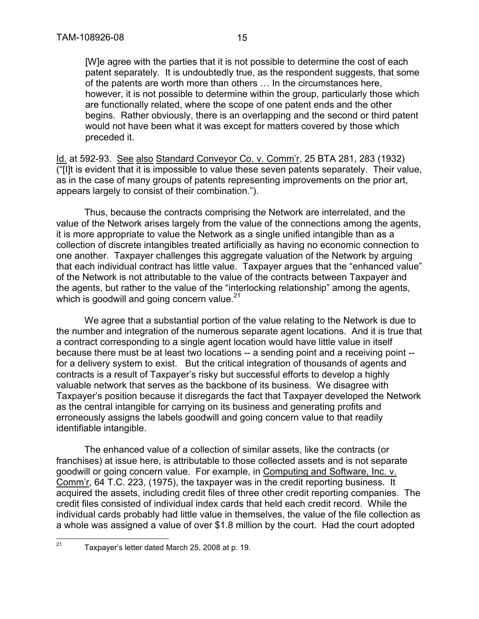[W]e agree with the parties that it is not possible to determine the cost of each patent separately. It is undoubtedly true, as the respondent suggests, that some of the patents are worth more than others … In the circumstances here, however, it is not possible to determine within the group, particularly those which are functionally related, where the scope of one patent ends and the other begins. Rather obviously, there is an overlapping and the second or third patent would not have been what it was except for matters covered by those which preceded it.

Id. at 592-93. See also Standard Conveyor Co. v. Comm'r, 25 BTA 281, 283 (1932) ("[I]t is evident that it is impossible to value these seven patents separately. Their value, as in the case of many groups of patents representing improvements on the prior art, appears largely to consist of their combination.").

Thus, because the contracts comprising the Network are interrelated, and the value of the Network arises largely from the value of the connections among the agents, it is more appropriate to value the Network as a single unified intangible than as a collection of discrete intangibles treated artificially as having no economic connection to one another. Taxpayer challenges this aggregate valuation of the Network by arguing that each individual contract has little value. Taxpayer argues that the "enhanced value" of the Network is not attributable to the value of the contracts between Taxpayer and the agents, but rather to the value of the "interlocking relationship" among the agents, which is goodwill and going concern value. $21$ 

We agree that a substantial portion of the value relating to the Network is due to the number and integration of the numerous separate agent locations. And it is true that a contract corresponding to a single agent location would have little value in itself because there must be at least two locations -- a sending point and a receiving point - for a delivery system to exist. But the critical integration of thousands of agents and contracts is a result of Taxpayer's risky but successful efforts to develop a highly valuable network that serves as the backbone of its business. We disagree with Taxpayer's position because it disregards the fact that Taxpayer developed the Network as the central intangible for carrying on its business and generating profits and erroneously assigns the labels goodwill and going concern value to that readily identifiable intangible.

The enhanced value of a collection of similar assets, like the contracts (or franchises) at issue here, is attributable to those collected assets and is not separate goodwill or going concern value. For example, in Computing and Software, Inc. v. Comm'r, 64 T.C. 223, (1975), the taxpayer was in the credit reporting business. It acquired the assets, including credit files of three other credit reporting companies. The credit files consisted of individual index cards that held each credit record. While the individual cards probably had little value in themselves, the value of the file collection as a whole was assigned a value of over \$1.8 million by the court. Had the court adopted

 $21$  Taxpayer's letter dated March 25, 2008 at p. 19.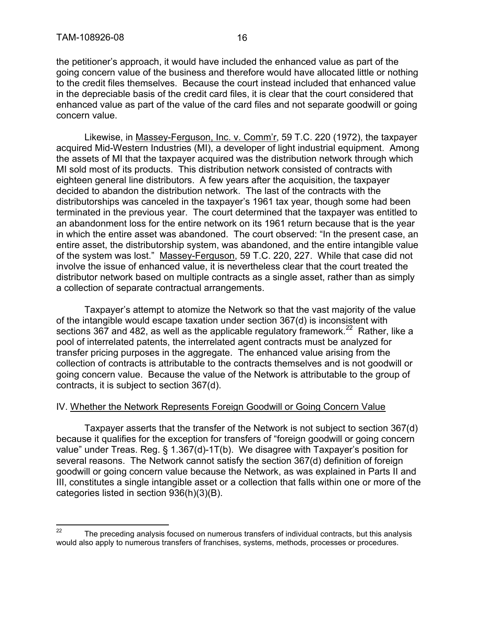the petitioner's approach, it would have included the enhanced value as part of the going concern value of the business and therefore would have allocated little or nothing to the credit files themselves. Because the court instead included that enhanced value in the depreciable basis of the credit card files, it is clear that the court considered that enhanced value as part of the value of the card files and not separate goodwill or going concern value.

Likewise, in Massey-Ferguson, Inc. v. Comm'r, 59 T.C. 220 (1972), the taxpayer acquired Mid-Western Industries (MI), a developer of light industrial equipment. Among the assets of MI that the taxpayer acquired was the distribution network through which MI sold most of its products. This distribution network consisted of contracts with eighteen general line distributors. A few years after the acquisition, the taxpayer decided to abandon the distribution network. The last of the contracts with the distributorships was canceled in the taxpayer's 1961 tax year, though some had been terminated in the previous year. The court determined that the taxpayer was entitled to an abandonment loss for the entire network on its 1961 return because that is the year in which the entire asset was abandoned. The court observed: "In the present case, an entire asset, the distributorship system, was abandoned, and the entire intangible value of the system was lost." Massey-Ferguson, 59 T.C. 220, 227. While that case did not involve the issue of enhanced value, it is nevertheless clear that the court treated the distributor network based on multiple contracts as a single asset, rather than as simply a collection of separate contractual arrangements.

Taxpayer's attempt to atomize the Network so that the vast majority of the value of the intangible would escape taxation under section 367(d) is inconsistent with sections 367 and 482, as well as the applicable regulatory framework.<sup>22</sup> Rather, like a pool of interrelated patents, the interrelated agent contracts must be analyzed for transfer pricing purposes in the aggregate. The enhanced value arising from the collection of contracts is attributable to the contracts themselves and is not goodwill or going concern value. Because the value of the Network is attributable to the group of contracts, it is subject to section 367(d).

#### IV. Whether the Network Represents Foreign Goodwill or Going Concern Value

Taxpayer asserts that the transfer of the Network is not subject to section 367(d) because it qualifies for the exception for transfers of "foreign goodwill or going concern value" under Treas. Reg. § 1.367(d)-1T(b). We disagree with Taxpayer's position for several reasons. The Network cannot satisfy the section 367(d) definition of foreign goodwill or going concern value because the Network, as was explained in Parts II and III, constitutes a single intangible asset or a collection that falls within one or more of the categories listed in section 936(h)(3)(B).

 $22$  The preceding analysis focused on numerous transfers of individual contracts, but this analysis would also apply to numerous transfers of franchises, systems, methods, processes or procedures.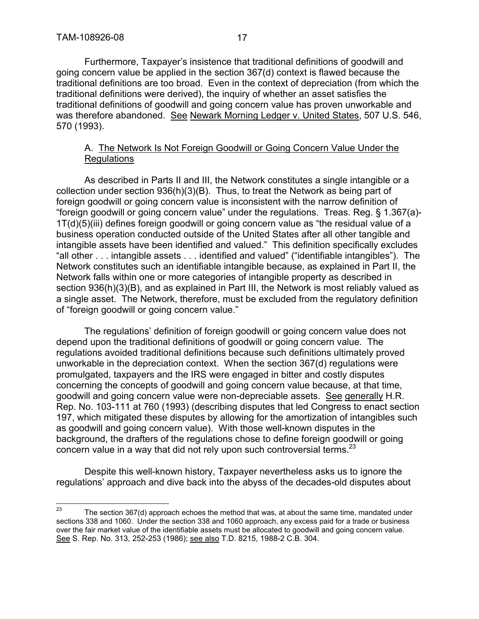Furthermore, Taxpayer's insistence that traditional definitions of goodwill and going concern value be applied in the section 367(d) context is flawed because the traditional definitions are too broad. Even in the context of depreciation (from which the traditional definitions were derived), the inquiry of whether an asset satisfies the traditional definitions of goodwill and going concern value has proven unworkable and was therefore abandoned. See Newark Morning Ledger v. United States, 507 U.S. 546, 570 (1993).

## A. The Network Is Not Foreign Goodwill or Going Concern Value Under the Regulations

As described in Parts II and III, the Network constitutes a single intangible or a collection under section  $936(h)(3)(B)$ . Thus, to treat the Network as being part of foreign goodwill or going concern value is inconsistent with the narrow definition of "foreign goodwill or going concern value" under the regulations. Treas. Reg. § 1.367(a)- 1T(d)(5)(iii) defines foreign goodwill or going concern value as "the residual value of a business operation conducted outside of the United States after all other tangible and intangible assets have been identified and valued." This definition specifically excludes "all other . . . intangible assets . . . identified and valued" ("identifiable intangibles"). The Network constitutes such an identifiable intangible because, as explained in Part II, the Network falls within one or more categories of intangible property as described in section 936(h)(3)(B), and as explained in Part III, the Network is most reliably valued as a single asset. The Network, therefore, must be excluded from the regulatory definition of "foreign goodwill or going concern value."

The regulations' definition of foreign goodwill or going concern value does not depend upon the traditional definitions of goodwill or going concern value. The regulations avoided traditional definitions because such definitions ultimately proved unworkable in the depreciation context. When the section 367(d) regulations were promulgated, taxpayers and the IRS were engaged in bitter and costly disputes concerning the concepts of goodwill and going concern value because, at that time, goodwill and going concern value were non-depreciable assets. See generally H.R. Rep. No. 103-111 at 760 (1993) (describing disputes that led Congress to enact section 197, which mitigated these disputes by allowing for the amortization of intangibles such as goodwill and going concern value). With those well-known disputes in the background, the drafters of the regulations chose to define foreign goodwill or going concern value in a way that did not rely upon such controversial terms. $^{23}$ 

Despite this well-known history, Taxpayer nevertheless asks us to ignore the regulations' approach and dive back into the abyss of the decades-old disputes about

 $23$  The section 367(d) approach echoes the method that was, at about the same time, mandated under sections 338 and 1060. Under the section 338 and 1060 approach, any excess paid for a trade or business over the fair market value of the identifiable assets must be allocated to goodwill and going concern value. See S. Rep. No. 313, 252-253 (1986); see also T.D. 8215, 1988-2 C.B. 304.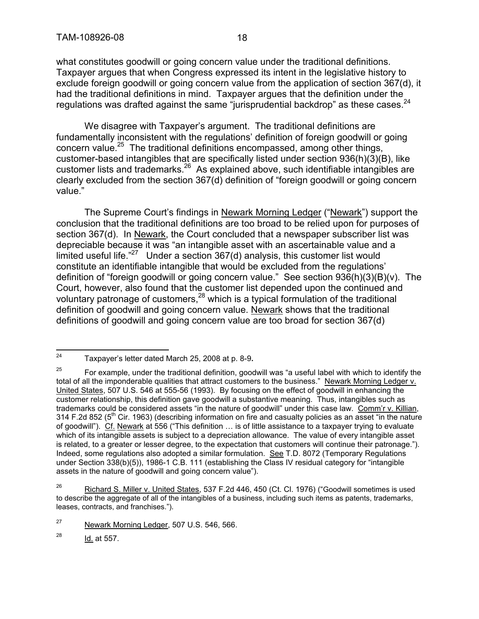what constitutes goodwill or going concern value under the traditional definitions. Taxpayer argues that when Congress expressed its intent in the legislative history to exclude foreign goodwill or going concern value from the application of section 367(d), it had the traditional definitions in mind. Taxpayer argues that the definition under the regulations was drafted against the same "jurisprudential backdrop" as these cases.<sup>24</sup>

We disagree with Taxpayer's argument. The traditional definitions are fundamentally inconsistent with the regulations' definition of foreign goodwill or going concern value.<sup>25</sup> The traditional definitions encompassed, among other things, customer-based intangibles that are specifically listed under section  $936(h)(3)(B)$ , like customer lists and trademarks.<sup>26</sup> As explained above, such identifiable intangibles are clearly excluded from the section 367(d) definition of "foreign goodwill or going concern value."

The Supreme Court's findings in Newark Morning Ledger ("Newark") support the conclusion that the traditional definitions are too broad to be relied upon for purposes of section 367(d). In Newark, the Court concluded that a newspaper subscriber list was depreciable because it was "an intangible asset with an ascertainable value and a limited useful life. $"^{27}$  Under a section 367(d) analysis, this customer list would constitute an identifiable intangible that would be excluded from the regulations' definition of "foreign goodwill or going concern value." See section 936(h)(3)(B)(v). The Court, however, also found that the customer list depended upon the continued and voluntary patronage of customers,<sup>28</sup> which is a typical formulation of the traditional definition of goodwill and going concern value. Newark shows that the traditional definitions of goodwill and going concern value are too broad for section 367(d)

 $^{28}$  Id. at 557.

<sup>24</sup> Taxpayer's letter dated March 25, 2008 at p. 8-9**.**

<sup>&</sup>lt;sup>25</sup> For example, under the traditional definition, goodwill was "a useful label with which to identify the total of all the imponderable qualities that attract customers to the business." Newark Morning Ledger v. United States, 507 U.S. 546 at 555-56 (1993). By focusing on the effect of goodwill in enhancing the customer relationship, this definition gave goodwill a substantive meaning. Thus, intangibles such as trademarks could be considered assets "in the nature of goodwill" under this case law. Comm'r v. Killian, 314 F.2d 852 (5<sup>th</sup> Cir. 1963) (describing information on fire and casualty policies as an asset "in the nature of goodwill"). Cf. Newark at 556 ("This definition … is of little assistance to a taxpayer trying to evaluate which of its intangible assets is subject to a depreciation allowance. The value of every intangible asset is related, to a greater or lesser degree, to the expectation that customers will continue their patronage."). Indeed, some regulations also adopted a similar formulation. See T.D. 8072 (Temporary Regulations under Section 338(b)(5)), 1986-1 C.B. 111 (establishing the Class IV residual category for "intangible assets in the nature of goodwill and going concern value").

<sup>&</sup>lt;sup>26</sup> Richard S. Miller v. United States, 537 F.2d 446, 450 (Ct. Cl. 1976) ("Goodwill sometimes is used to describe the aggregate of all of the intangibles of a business, including such items as patents, trademarks, leases, contracts, and franchises.").

<sup>&</sup>lt;sup>27</sup> Newark Morning Ledger, 507 U.S. 546, 566.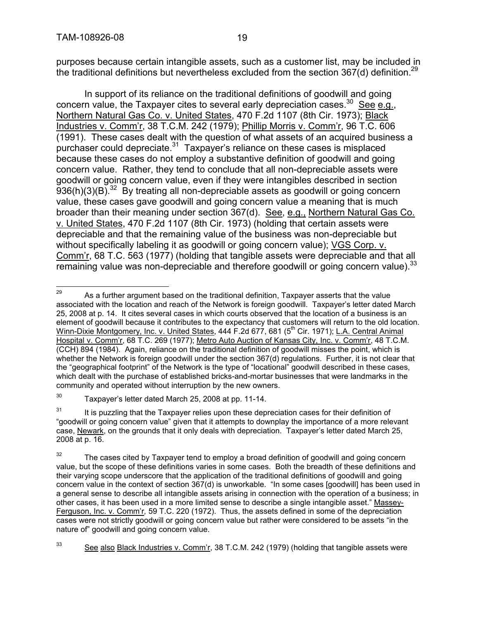purposes because certain intangible assets, such as a customer list, may be included in the traditional definitions but nevertheless excluded from the section  $367(d)$  definition.<sup>29</sup>

In support of its reliance on the traditional definitions of goodwill and going concern value, the Taxpayer cites to several early depreciation cases.<sup>30</sup> See e.g., Northern Natural Gas Co. v. United States, 470 F.2d 1107 (8th Cir. 1973); Black Industries v. Comm'r, 38 T.C.M. 242 (1979); Phillip Morris v. Comm'r, 96 T.C. 606 (1991). These cases dealt with the question of what assets of an acquired business a purchaser could depreciate. $31$  Taxpayer's reliance on these cases is misplaced because these cases do not employ a substantive definition of goodwill and going concern value. Rather, they tend to conclude that all non-depreciable assets were goodwill or going concern value, even if they were intangibles described in section  $936(h)(3)(B)$ .<sup>32</sup> By treating all non-depreciable assets as goodwill or going concern value, these cases gave goodwill and going concern value a meaning that is much broader than their meaning under section 367(d). See, e.g., Northern Natural Gas Co. v. United States, 470 F.2d 1107 (8th Cir. 1973) (holding that certain assets were depreciable and that the remaining value of the business was non-depreciable but without specifically labeling it as goodwill or going concern value); VGS Corp. v. Comm'r, 68 T.C. 563 (1977) (holding that tangible assets were depreciable and that all remaining value was non-depreciable and therefore goodwill or going concern value).<sup>33</sup>

 $29$  As a further argument based on the traditional definition, Taxpayer asserts that the value associated with the location and reach of the Network is foreign goodwill. Taxpayer's letter dated March 25, 2008 at p. 14. It cites several cases in which courts observed that the location of a business is an element of goodwill because it contributes to the expectancy that customers will return to the old location. Winn-Dixie Montgomery, Inc. v. United States, 444 F.2d 677, 681 (5<sup>th</sup> Cir. 1971); L.A. Central Animal Hospital v. Comm'r, 68 T.C. 269 (1977); Metro Auto Auction of Kansas City, Inc. v. Comm'r, 48 T.C.M. (CCH) 894 (1984). Again, reliance on the traditional definition of goodwill misses the point, which is whether the Network is foreign goodwill under the section 367(d) regulations. Further, it is not clear that the "geographical footprint" of the Network is the type of "locational" goodwill described in these cases, which dealt with the purchase of established bricks-and-mortar businesses that were landmarks in the community and operated without interruption by the new owners.

 $30$  Taxpayer's letter dated March 25, 2008 at pp. 11-14.

 $31$  It is puzzling that the Taxpayer relies upon these depreciation cases for their definition of "goodwill or going concern value" given that it attempts to downplay the importance of a more relevant case, Newark, on the grounds that it only deals with depreciation. Taxpayer's letter dated March 25, 2008 at p. 16.

 $32$  The cases cited by Taxpayer tend to employ a broad definition of goodwill and going concern value, but the scope of these definitions varies in some cases. Both the breadth of these definitions and their varying scope underscore that the application of the traditional definitions of goodwill and going concern value in the context of section 367(d) is unworkable. "In some cases [goodwill] has been used in a general sense to describe all intangible assets arising in connection with the operation of a business; in other cases, it has been used in a more limited sense to describe a single intangible asset." Massey-Ferguson, Inc. v. Comm'r*,* 59 T.C. 220 (1972). Thus, the assets defined in some of the depreciation cases were not strictly goodwill or going concern value but rather were considered to be assets "in the nature of" goodwill and going concern value.

<sup>&</sup>lt;sup>33</sup> See also Black Industries v. Comm'r, 38 T.C.M. 242 (1979) (holding that tangible assets were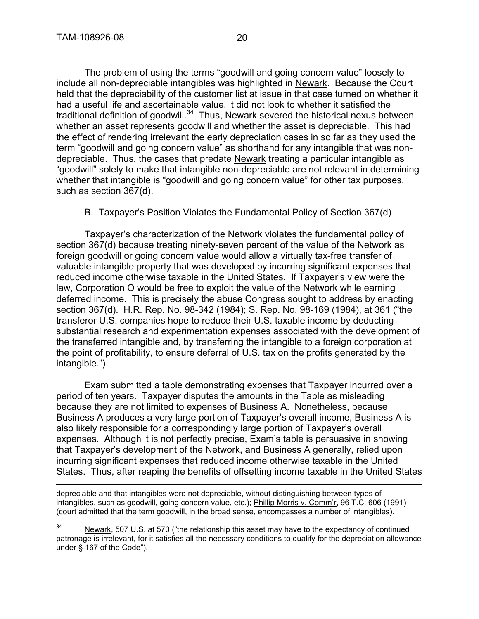The problem of using the terms "goodwill and going concern value" loosely to include all non-depreciable intangibles was highlighted in Newark. Because the Court held that the depreciability of the customer list at issue in that case turned on whether it had a useful life and ascertainable value, it did not look to whether it satisfied the traditional definition of goodwill. $34$  Thus, Newark severed the historical nexus between whether an asset represents goodwill and whether the asset is depreciable. This had the effect of rendering irrelevant the early depreciation cases in so far as they used the term "goodwill and going concern value" as shorthand for any intangible that was nondepreciable. Thus, the cases that predate Newark treating a particular intangible as "goodwill" solely to make that intangible non-depreciable are not relevant in determining whether that intangible is "goodwill and going concern value" for other tax purposes, such as section 367(d).

#### B. Taxpayer's Position Violates the Fundamental Policy of Section 367(d)

Taxpayer's characterization of the Network violates the fundamental policy of section 367(d) because treating ninety-seven percent of the value of the Network as foreign goodwill or going concern value would allow a virtually tax-free transfer of valuable intangible property that was developed by incurring significant expenses that reduced income otherwise taxable in the United States. If Taxpayer's view were the law, Corporation O would be free to exploit the value of the Network while earning deferred income. This is precisely the abuse Congress sought to address by enacting section 367(d). H.R. Rep. No. 98-342 (1984); S. Rep. No. 98-169 (1984), at 361 ("the transferor U.S. companies hope to reduce their U.S. taxable income by deducting substantial research and experimentation expenses associated with the development of the transferred intangible and, by transferring the intangible to a foreign corporation at the point of profitability, to ensure deferral of U.S. tax on the profits generated by the intangible.")

Exam submitted a table demonstrating expenses that Taxpayer incurred over a period of ten years. Taxpayer disputes the amounts in the Table as misleading because they are not limited to expenses of Business A. Nonetheless, because Business A produces a very large portion of Taxpayer's overall income, Business A is also likely responsible for a correspondingly large portion of Taxpayer's overall expenses. Although it is not perfectly precise, Exam's table is persuasive in showing that Taxpayer's development of the Network, and Business A generally, relied upon incurring significant expenses that reduced income otherwise taxable in the United States. Thus, after reaping the benefits of offsetting income taxable in the United States

depreciable and that intangibles were not depreciable, without distinguishing between types of intangibles, such as goodwill, going concern value, etc.); Phillip Morris v. Comm'r, 96 T.C. 606 (1991) (court admitted that the term goodwill, in the broad sense, encompasses a number of intangibles).

<sup>34</sup> Newark, 507 U.S. at 570 ("the relationship this asset may have to the expectancy of continued patronage is irrelevant, for it satisfies all the necessary conditions to qualify for the depreciation allowance under § 167 of the Code").